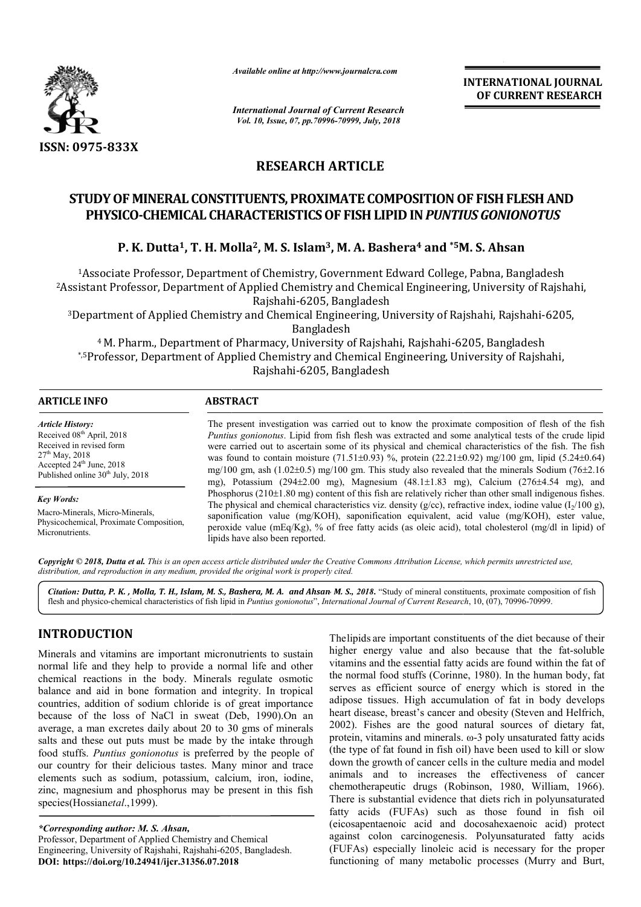

*Available online at http://www.journalcra.com*

*International Journal of Current Research Vol. 10, Issue, 07, pp.70996-70999, July, 2018*

**INTERNATIONAL JOURNAL OF CURRENT RESEARCH**

# **RESEARCH ARTICLE**

# STUDY OF MINERAL CONSTITUENTS, PROXIMATE COMPOSITION OF FISH FLESH AND **PHYSICO-CHEMICAL CHARACTERISTICS OF FISH LIPID IN PUNTIUS GONIONOTUS**

### **P. K. Dutta<sup>1</sup>, T. H. Molla<sup>2</sup>, M. S. Islam<sup>3</sup>, M. A. Bashera<sup>4</sup> and \*5M. S. Ahsan**

1Associate Professor, Department of Chemistry, Government Edward College, Pabna, Bangladesh 2Assistant Professor, Department of Applied Chemistry and Chemical Engineering <sup>1</sup> Associate Professor, Department of Chemistry, Government Edward College, Pabna, Bangladesh<br>Assistant Professor, Department of Applied Chemistry and Chemical Engineering, University of Rajshahi,<br>Rajshahi-6205, Banglades

<sup>3</sup>Department of Applied Chemistry and Chemical Engineering, University of Rajshahi, Rajshahi-6205, Bangladesh

<sup>4</sup> M. Pharm., Department of Pharmacy, University of Rajshahi, Rajshahi-6205, Bangladesh \*,5Professor, Department of Applied Chemistry and Chemical Engineering, University of Rajshahi, Rajshahi-6205, Bangladesh

| <b>ARTICLE INFO</b>                                                                                                                                                                            | <b>ABSTRACT</b>                                                                                                                                                                                                                                                                                                                                                                                                                                                                                                                                                                                                                                               |
|------------------------------------------------------------------------------------------------------------------------------------------------------------------------------------------------|---------------------------------------------------------------------------------------------------------------------------------------------------------------------------------------------------------------------------------------------------------------------------------------------------------------------------------------------------------------------------------------------------------------------------------------------------------------------------------------------------------------------------------------------------------------------------------------------------------------------------------------------------------------|
| <b>Article History:</b><br>Received 08 <sup>th</sup> April, 2018<br>Received in revised form<br>$27th$ May, 2018<br>Accepted $24^{\text{th}}$ June, 2018<br>Published online $30th$ July, 2018 | The present investigation was carried out to know the proximate composition of flesh of the fish<br><i>Puntius gonionotus.</i> Lipid from fish flesh was extracted and some analytical tests of the crude lipid<br>were carried out to ascertain some of its physical and chemical characteristics of the fish. The fish<br>was found to contain moisture $(71.51\pm0.93)$ %, protein $(22.21\pm0.92)$ mg/100 gm, lipid $(5.24\pm0.64)$<br>mg/100 gm, ash $(1.02\pm0.5)$ mg/100 gm. This study also revealed that the minerals Sodium (76 $\pm$ 2.16)<br>mg), Potassium (294 $\pm$ 2.00 mg), Magnesium (48.1 $\pm$ 1.83 mg), Calcium (276 $\pm$ 4.54 mg), and |
| Key Words:<br>Macro-Minerals, Micro-Minerals,<br>Physicochemical, Proximate Composition,<br>Micronutrients.                                                                                    | Phosphorus $(210\pm1.80 \text{ mg})$ content of this fish are relatively richer than other small indigenous fishes.<br>The physical and chemical characteristics viz. density ( $g$ /cc), refractive index, iodine value ( $I_2/100 g$ ),<br>saponification value $(mg/KOH)$ , saponification equivalent, acid value $(mg/KOH)$ , ester value,<br>peroxide value (mEq/Kg), % of free fatty acids (as oleic acid), total cholesterol (mg/dl in lipid) of<br>lipids have also been reported.                                                                                                                                                                    |

Copyright © 2018, Dutta et al. This is an open access article distributed under the Creative Commons Attribution License, which permits unrestricted use, *distribution, and reproduction in any medium, provided the original work is properly cited.*

Citation: Dutta, P. K., Molla, T. H., Islam, M. S., Bashera, M. A. and Ahsan M. S., 2018. "Study of mineral constituents, proximate composition of fish lipid in Puntius gonionotus", International Journal of Current Researc flesh and physico-chemical characteristics of fish lipid in Puntius gonionotus", International Journal of Current Research

## **INTRODUCTION**

Minerals and vitamins are important micronutrients to sustain normal life and they help to provide a normal life and other chemical reactions in the body. Minerals regulate osmotic balance and aid in bone formation and integrity. In tropical countries, addition of sodium chloride is of great importance because of the loss of NaCl in sweat (Deb (Deb, 1990).On an average, a man excretes daily about 20 to 30 gms of minerals salts and these out puts must be made by the intake through food stuffs. *Puntius gonionotus* is preferred by the people of our country for their delicious tastes. Many minor and trace elements such as sodium, potassium, calcium, iron, iodine, zinc, magnesium and phosphorus may be present in this fish species(Hossianetal., 1999).

*\*Corresponding author: M. S. Ahsan,* Professor, Department of Applied Chemistry and Chemical Engineering, University of Rajshahi, Rajshahi-6205, Bangladesh 6205, Bangladesh. **DOI: https://doi.org/10.24941/ijcr.31356.07.2018**

Thelipids are important constituents of the diet because of their<br>
a normal life and other<br>
ingher energy value and also because that the fat-soluble<br>
interacts regulate osmotic<br>
the normal food stuffs (Corinne, 1980). In The lipids are important constituents of the diet because of their<br>higher energy value and also because that the fat-soluble vitamins and the essential fatty acids are found within the fat of the normal food stuffs (Corinne, 1980). In the human body, fat serves as efficient source of energy which is stored in the adipose tissues. High accumulation of fat in body develops heart disease, breast's cancer and obesity (Steven and Helfrich, 2002). Fishes are the good natural sources of dietary fat, protein, vitamins and minerals. ω (the type of fat found in fish oil) have been used to kill or slow down the growth of cancer cells in the culture media and model animals and to increases the effectiveness of cancer (the type of fat found in fish oil) have been used to kill or slow<br>down the growth of cancer cells in the culture media and model<br>animals and to increases the effectiveness of cancer<br>chemotherapeutic drugs (Robinson, 1980, There is substantial evidence that diets rich in polyunsaturated fatty acids (FUFAs) such as those found in fish oil (eicosapentaenoic acid and docosahexaenoic acid) protect against colon carcinogenesis. Polyunsaturated fatt (FUFAs) especially linoleic acid is necessary for the proper functioning of many metabolic processes (Murry and Burt, serves as efficient source of energy which is stored in the adipose tissues. High accumulation of fat in body develops heart disease, breast's cancer and obesity (Steven and Helfrich, 2002). Fishes are the good natural so substantial evidence that diets rich in polyunsaturated<br>ids (FUFAs) such as those found in fish oil<br>protect acid and docosahexaenoic acid) protect<br>colon carcinogenesis. Polyunsaturated fatty acids INTERNATIONAL JOURNAL<br> **INTERNATIONAL STATE CONFORMERS (CONFIGURAL CONFIGURAL CONFIGURAL CONFIGURAL CONFIGURAL CONFIGURAT RESEARCH<br>
MATTE COMPOSITION OF FISH FLESH AND<br>
JP FISH LIPID IN PUNTIUS GOMONOTUS<br>
FISH AND FISH CO**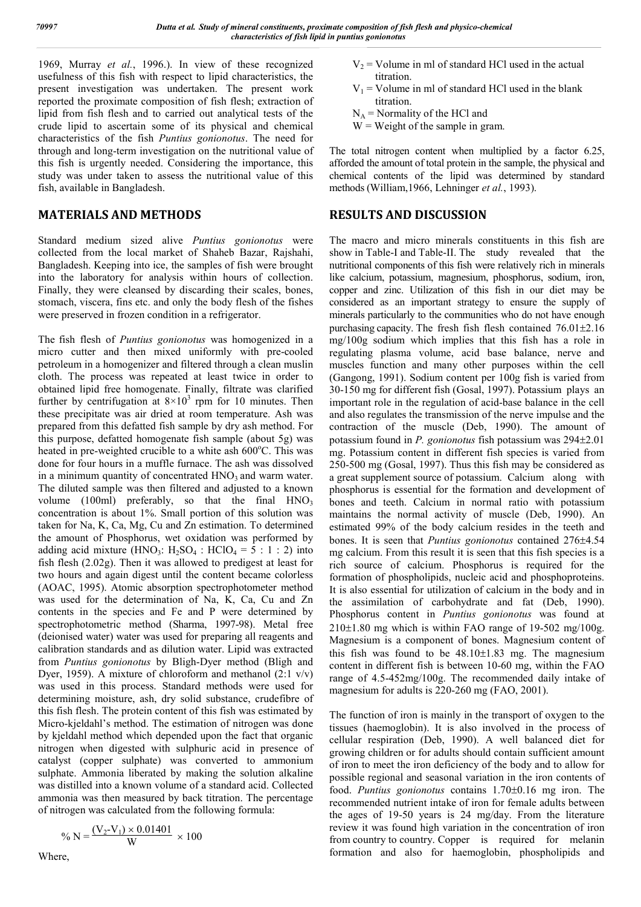1969, Murray *et al.*, 1996.). In view of these recognized usefulness of this fish with respect to lipid characteristics, the present investigation was undertaken. The present work reported the proximate composition of fish flesh; extraction of lipid from fish flesh and to carried out analytical tests of the crude lipid to ascertain some of its physical and chemical characteristics of the fish *Puntius gonionotus*. The need for through and long-term investigation on the nutritional value of this fish is urgently needed. Considering the importance, this study was under taken to assess the nutritional value of this fish, available in Bangladesh.

#### **MATERIALS AND METHODS**

Standard medium sized alive *Puntius gonionotus* were collected from the local market of Shaheb Bazar, Rajshahi, Bangladesh. Keeping into ice, the samples of fish were brought into the laboratory for analysis within hours of collection. Finally, they were cleansed by discarding their scales, bones, stomach, viscera, fins etc. and only the body flesh of the fishes were preserved in frozen condition in a refrigerator.

The fish flesh of *Puntius gonionotus* was homogenized in a micro cutter and then mixed uniformly with pre-cooled petroleum in a homogenizer and filtered through a clean muslin cloth. The process was repeated at least twice in order to obtained lipid free homogenate. Finally, filtrate was clarified further by centrifugation at  $8\times10^3$  rpm for 10 minutes. Then these precipitate was air dried at room temperature. Ash was prepared from this defatted fish sample by dry ash method. For this purpose, defatted homogenate fish sample (about 5g) was heated in pre-weighted crucible to a white ash 600°C. This was done for four hours in a muffle furnace. The ash was dissolved in a minimum quantity of concentrated  $HNO<sub>3</sub>$  and warm water. The diluted sample was then filtered and adjusted to a known volume  $(100ml)$  preferably, so that the final  $HNO<sub>3</sub>$ concentration is about 1%. Small portion of this solution was taken for Na, K, Ca, Mg, Cu and Zn estimation. To determined the amount of Phosphorus, wet oxidation was performed by adding acid mixture  $(HNO_3: H_2SO_4: HClO_4 = 5 : 1 : 2)$  into fish flesh (2.02g). Then it was allowed to predigest at least for two hours and again digest until the content became colorless (AOAC, 1995). Atomic absorption spectrophotometer method was used for the determination of Na, K, Ca, Cu and Zn contents in the species and Fe and P were determined by spectrophotometric method (Sharma, 1997-98). Metal free (deionised water) water was used for preparing all reagents and calibration standards and as dilution water. Lipid was extracted from *Puntius gonionotus* by Bligh-Dyer method (Bligh and Dyer, 1959). A mixture of chloroform and methanol  $(2.1 \text{ v/v})$ was used in this process. Standard methods were used for determining moisture, ash, dry solid substance, crudefibre of this fish flesh. The protein content of this fish was estimated by Micro-kjeldahl's method. The estimation of nitrogen was done by kjeldahl method which depended upon the fact that organic nitrogen when digested with sulphuric acid in presence of catalyst (copper sulphate) was converted to ammonium sulphate. Ammonia liberated by making the solution alkaline was distilled into a known volume of a standard acid. Collected ammonia was then measured by back titration. The percentage of nitrogen was calculated from the following formula:

$$
\% N = \frac{(V_2 - V_1) \times 0.01401}{W} \times 100
$$

- $V_2$  = Volume in ml of standard HCl used in the actual titration.
- $V_1$  = Volume in ml of standard HCl used in the blank titration.
- $N_A$  = Normality of the HCl and
- $W = Weight of the sample in gram.$

The total nitrogen content when multiplied by a factor 6.25, afforded the amount of total protein in the sample, the physical and chemical contents of the lipid was determined by standard methods (William,1966, Lehninger *et al.*, 1993).

#### **RESULTS AND DISCUSSION**

The macro and micro minerals constituents in this fish are show in Table-I and Table-II. The study revealed that the nutritional components of this fish were relatively rich in minerals like calcium, potassium, magnesium, phosphorus, sodium, iron, copper and zinc. Utilization of this fish in our diet may be considered as an important strategy to ensure the supply of minerals particularly to the communities who do not have enough purchasing capacity. The fresh fish flesh contained  $76.01\pm2.16$ mg/100g sodium which implies that this fish has a role in regulating plasma volume, acid base balance, nerve and muscles function and many other purposes within the cell (Gangong, 1991). Sodium content per 100g fish is varied from 30-150 mg for different fish (Gosal, 1997). Potassium plays an important role in the regulation of acid-base balance in the cell and also regulates the transmission of the nerve impulse and the contraction of the muscle (Deb, 1990). The amount of potassium found in *P. gonionotus* fish potassium was 294 $\pm$ 2.01 mg. Potassium content in different fish species is varied from 250-500 mg (Gosal, 1997). Thus this fish may be considered as a great supplement source of potassium. Calcium along with phosphorus is essential for the formation and development of bones and teeth. Calcium in normal ratio with potassium maintains the normal activity of muscle (Deb, 1990). An estimated 99% of the body calcium resides in the teeth and bones. It is seen that *Puntius gonionotus* contained 276±4.54 mg calcium. From this result it is seen that this fish species is a rich source of calcium. Phosphorus is required for the formation of phospholipids, nucleic acid and phosphoproteins. It is also essential for utilization of calcium in the body and in the assimilation of carbohydrate and fat (Deb, 1990). Phosphorus content in *Puntius gonionotus* was found at  $210\pm1.80$  mg which is within FAO range of 19-502 mg/100g. Magnesium is a component of bones. Magnesium content of this fish was found to be  $48.10 \pm 1.83$  mg. The magnesium content in different fish is between 10-60 mg, within the FAO range of 4.5-452mg/100g. The recommended daily intake of magnesium for adults is 220-260 mg (FAO, 2001).

The function of iron is mainly in the transport of oxygen to the tissues (haemoglobin). It is also involved in the process of cellular respiration (Deb, 1990). A well balanced diet for growing children or for adults should contain sufficient amount of iron to meet the iron deficiency of the body and to allow for possible regional and seasonal variation in the iron contents of food. *Puntius gonionotus* contains 1.70±0.16 mg iron. The recommended nutrient intake of iron for female adults between the ages of 19-50 years is 24 mg/day. From the literature review it was found high variation in the concentration of iron from country to country. Copper is required for melanin formation and also for haemoglobin, phospholipids and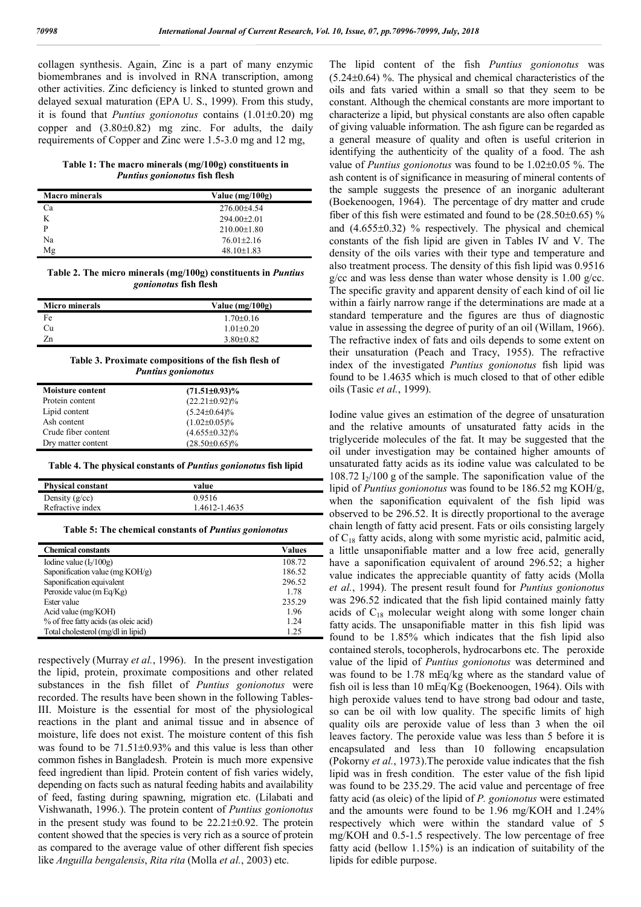collagen synthesis. Again, Zinc is a part of many enzymic biomembranes and is involved in RNA transcription, among other activities. Zinc deficiency is linked to stunted grown and delayed sexual maturation (EPA U. S., 1999). From this study, it is found that *Puntius gonionotus* contains  $(1.01 \pm 0.20)$  mg copper and  $(3.80\pm0.82)$  mg zinc. For adults, the daily requirements of Copper and Zinc were 1.5-3.0 mg and 12 mg,

**Table 1: The macro minerals (mg/100g) constituents in**  *Puntius gonionotus* **fish flesh**

| <b>Macro</b> minerals | Value $(mg/100g)$ |
|-----------------------|-------------------|
| Сa                    | $276.00\pm4.54$   |
| K                     | $294.00 \pm 2.01$ |
| D                     | $210.00 \pm 1.80$ |
| Na                    | $76.01 \pm 2.16$  |
| Mg                    | $48.10 \pm 1.83$  |

**Table 2. The micro minerals (mg/100g) constituents in** *Puntius gonionotus* **fish flesh**

| <b>Micro</b> minerals | Value $(mg/100g)$ |
|-----------------------|-------------------|
| Fe                    | $1.70 \pm 0.16$   |
| Cu                    | $1.01 + 0.20$     |
| 7n                    | $3.80 \pm 0.82$   |

| Table 3. Proximate compositions of the fish flesh of |  |
|------------------------------------------------------|--|
| <b>Puntius gonionotus</b>                            |  |

| <b>Moisture content</b> | $(71.51\pm0.93)\%$   |  |
|-------------------------|----------------------|--|
| Protein content         | $(22.21 \pm 0.92)\%$ |  |
| Lipid content           | $(5.24 \pm 0.64)\%$  |  |
| Ash content             | $(1.02 \pm 0.05)\%$  |  |
| Crude fiber content     | $(4.655 \pm 0.32)\%$ |  |
| Dry matter content      | $(28.50\pm0.65)\%$   |  |

**Table 4. The physical constants of** *Puntius gonionotus* **fish lipid**

| <b>Physical constant</b> | value         |  |
|--------------------------|---------------|--|
| Density $(g/cc)$         | 0.9516        |  |
| Refractive index         | 1.4612-1.4635 |  |

**Table 5: The chemical constants of** *Puntius gonionotus*

| <b>Chemical constants</b>             | <b>Values</b> |
|---------------------------------------|---------------|
| Iodine value $(I_2/100g)$             | 108.72        |
| Saponification value (mg $KOH/g$ )    | 186.52        |
| Saponification equivalent             | 296.52        |
| Peroxide value (m Eq/Kg)              | 1.78          |
| Ester value                           | 235.29        |
| Acid value (mg/KOH)                   | 1.96          |
| % of free fatty acids (as oleic acid) | 124           |
| Total cholesterol (mg/dl in lipid)    | 1 25          |

respectively (Murray *et al.*, 1996). In the present investigation the lipid, protein, proximate compositions and other related substances in the fish fillet of *Puntius gonionotus* were recorded. The results have been shown in the following Tables-III. Moisture is the essential for most of the physiological reactions in the plant and animal tissue and in absence of moisture, life does not exist. The moisture content of this fish was found to be  $71.51\pm0.93\%$  and this value is less than other common fishes in Bangladesh. Protein is much more expensive feed ingredient than lipid. Protein content of fish varies widely, depending on facts such as natural feeding habits and availability of feed, fasting during spawning, migration etc. (Lilabati and Vishwanath, 1996.). The protein content of *Puntius gonionotus* in the present study was found to be  $22.21 \pm 0.92$ . The protein content showed that the species is very rich as a source of protein as compared to the average value of other different fish species like *Anguilla bengalensis*, *Rita rita* (Molla *et al.*, 2003) etc.

The lipid content of the fish *Puntius gonionotus* was  $(5.24\pm0.64)$  %. The physical and chemical characteristics of the oils and fats varied within a small so that they seem to be constant. Although the chemical constants are more important to characterize a lipid, but physical constants are also often capable of giving valuable information. The ash figure can be regarded as a general measure of quality and often is useful criterion in identifying the authenticity of the quality of a food. The ash value of *Puntius gonionotus* was found to be 1.02±0.05 %. The ash content is of significance in measuring of mineral contents of the sample suggests the presence of an inorganic adulterant (Boekenoogen, 1964). The percentage of dry matter and crude fiber of this fish were estimated and found to be  $(28.50\pm0.65)$  % and  $(4.655\pm0.32)$  % respectively. The physical and chemical constants of the fish lipid are given in Tables IV and V. The density of the oils varies with their type and temperature and also treatment process. The density of this fish lipid was 0.9516 g/cc and was less dense than water whose density is  $1.00$  g/cc. The specific gravity and apparent density of each kind of oil lie within a fairly narrow range if the determinations are made at a standard temperature and the figures are thus of diagnostic value in assessing the degree of purity of an oil (Willam, 1966). The refractive index of fats and oils depends to some extent on their unsaturation (Peach and Tracy, 1955). The refractive index of the investigated *Puntius gonionotus* fish lipid was found to be 1.4635 which is much closed to that of other edible oils (Tasic *et al.*, 1999).

Iodine value gives an estimation of the degree of unsaturation and the relative amounts of unsaturated fatty acids in the triglyceride molecules of the fat. It may be suggested that the oil under investigation may be contained higher amounts of unsaturated fatty acids as its iodine value was calculated to be 108.72  $I_2/100$  g of the sample. The saponification value of the lipid of *Puntius gonionotus* was found to be 186.52 mg KOH/g, when the saponification equivalent of the fish lipid was observed to be 296.52. It is directly proportional to the average chain length of fatty acid present. Fats or oils consisting largely of  $C_{18}$  fatty acids, along with some myristic acid, palmitic acid, a little unsaponifiable matter and a low free acid, generally have a saponification equivalent of around 296.52; a higher value indicates the appreciable quantity of fatty acids (Molla *et al.*, 1994). The present result found for *Puntius gonionotus* was 296.52 indicated that the fish lipid contained mainly fatty acids of  $C_{18}$  molecular weight along with some longer chain fatty acids. The unsaponifiable matter in this fish lipid was found to be 1.85% which indicates that the fish lipid also contained sterols, tocopherols, hydrocarbons etc. The peroxide value of the lipid of *Puntius gonionotus* was determined and was found to be 1.78 mEq/kg where as the standard value of fish oil is less than 10 mEq/Kg (Boekenoogen, 1964). Oils with high peroxide values tend to have strong bad odour and taste, so can be oil with low quality. The specific limits of high quality oils are peroxide value of less than 3 when the oil leaves factory. The peroxide value was less than 5 before it is encapsulated and less than 10 following encapsulation (Pokorny *et al.*, 1973).The peroxide value indicates that the fish lipid was in fresh condition. The ester value of the fish lipid was found to be 235.29. The acid value and percentage of free fatty acid (as oleic) of the lipid of *P. gonionotus* were estimated and the amounts were found to be 1.96 mg/KOH and 1.24% respectively which were within the standard value of 5 mg/KOH and 0.5-1.5 respectively. The low percentage of free fatty acid (bellow 1.15%) is an indication of suitability of the lipids for edible purpose.